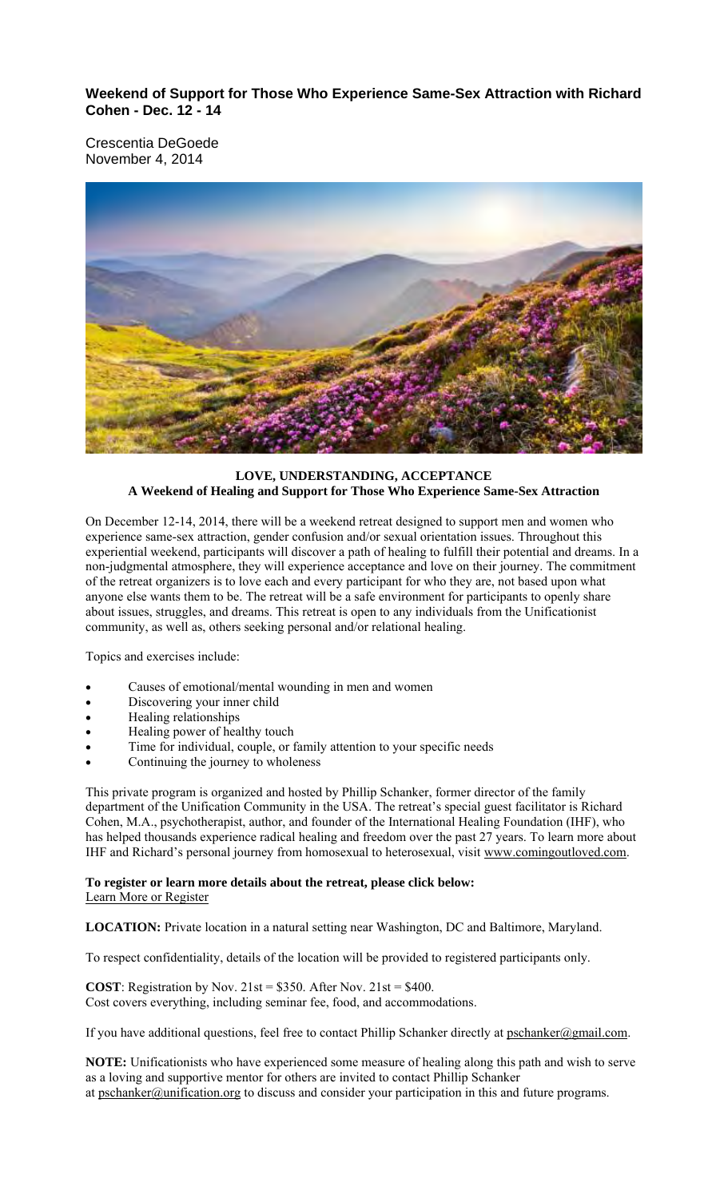**Weekend of Support for Those Who Experience Same-Sex Attraction with Richard Cohen - Dec. 12 - 14**

Crescentia DeGoede November 4, 2014



## **LOVE, UNDERSTANDING, ACCEPTANCE A Weekend of Healing and Support for Those Who Experience Same-Sex Attraction**

On December 12-14, 2014, there will be a weekend retreat designed to support men and women who experience same-sex attraction, gender confusion and/or sexual orientation issues. Throughout this experiential weekend, participants will discover a path of healing to fulfill their potential and dreams. In a non-judgmental atmosphere, they will experience acceptance and love on their journey. The commitment of the retreat organizers is to love each and every participant for who they are, not based upon what anyone else wants them to be. The retreat will be a safe environment for participants to openly share about issues, struggles, and dreams. This retreat is open to any individuals from the Unificationist community, as well as, others seeking personal and/or relational healing.

Topics and exercises include:

- Causes of emotional/mental wounding in men and women
- Discovering your inner child
- Healing relationships
- Healing power of healthy touch
- Time for individual, couple, or family attention to your specific needs
- Continuing the journey to wholeness

This private program is organized and hosted by Phillip Schanker, former director of the family department of the Unification Community in the USA. The retreat's special guest facilitator is Richard Cohen, M.A., psychotherapist, author, and founder of the International Healing Foundation (IHF), who has helped thousands experience radical healing and freedom over the past 27 years. To learn more about IHF and Richard's personal journey from homosexual to heterosexual, visit www.comingoutloved.com.

### **To register or learn more details about the retreat, please click below:** Learn More or Register

**LOCATION:** Private location in a natural setting near Washington, DC and Baltimore, Maryland.

To respect confidentiality, details of the location will be provided to registered participants only.

**COST**: Registration by Nov.  $21st = $350$ . After Nov.  $21st = $400$ . Cost covers everything, including seminar fee, food, and accommodations.

If you have additional questions, feel free to contact Phillip Schanker directly at pschanker@gmail.com.

**NOTE:** Unificationists who have experienced some measure of healing along this path and wish to serve as a loving and supportive mentor for others are invited to contact Phillip Schanker at pschanker@unification.org to discuss and consider your participation in this and future programs.